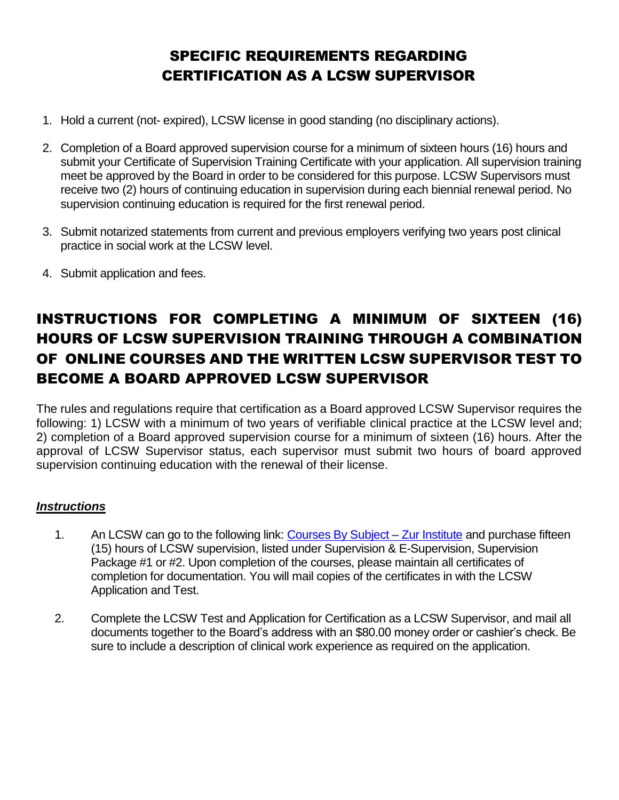# SPECIFIC REQUIREMENTS REGARDING CERTIFICATION AS A LCSW SUPERVISOR

- 1. Hold a current (not- expired), LCSW license in good standing (no disciplinary actions).
- 2. Completion of a Board approved supervision course for a minimum of sixteen hours (16) hours and submit your Certificate of Supervision Training Certificate with your application. All supervision training meet be approved by the Board in order to be considered for this purpose. LCSW Supervisors must receive two (2) hours of continuing education in supervision during each biennial renewal period. No supervision continuing education is required for the first renewal period.
- 3. Submit notarized statements from current and previous employers verifying two years post clinical practice in social work at the LCSW level.
- 4. Submit application and fees.

# INSTRUCTIONS FOR COMPLETING A MINIMUM OF SIXTEEN (16) HOURS OF LCSW SUPERVISION TRAINING THROUGH A COMBINATION OF ONLINE COURSES AND THE WRITTEN LCSW SUPERVISOR TEST TO BECOME A BOARD APPROVED LCSW SUPERVISOR

The rules and regulations require that certification as a Board approved LCSW Supervisor requires the following: 1) LCSW with a minimum of two years of verifiable clinical practice at the LCSW level and; 2) completion of a Board approved supervision course for a minimum of sixteen (16) hours. After the approval of LCSW Supervisor status, each supervisor must submit two hours of board approved supervision continuing education with the renewal of their license.

## *Instructions*

- 1. An LCSW can go to the following link: [Courses By Subject –](https://www.zurinstitute.com/course-catalog/subjects/#supervision) Zur Institute and purchase fifteen (15) hours of LCSW supervision, listed under Supervision & E-Supervision, Supervision Package #1 or #2. Upon completion of the courses, please maintain all certificates of completion for documentation. You will mail copies of the certificates in with the LCSW Application and Test.
- 2. Complete the LCSW Test and Application for Certification as a LCSW Supervisor, and mail all documents together to the Board's address with an \$80.00 money order or cashier's check. Be sure to include a description of clinical work experience as required on the application.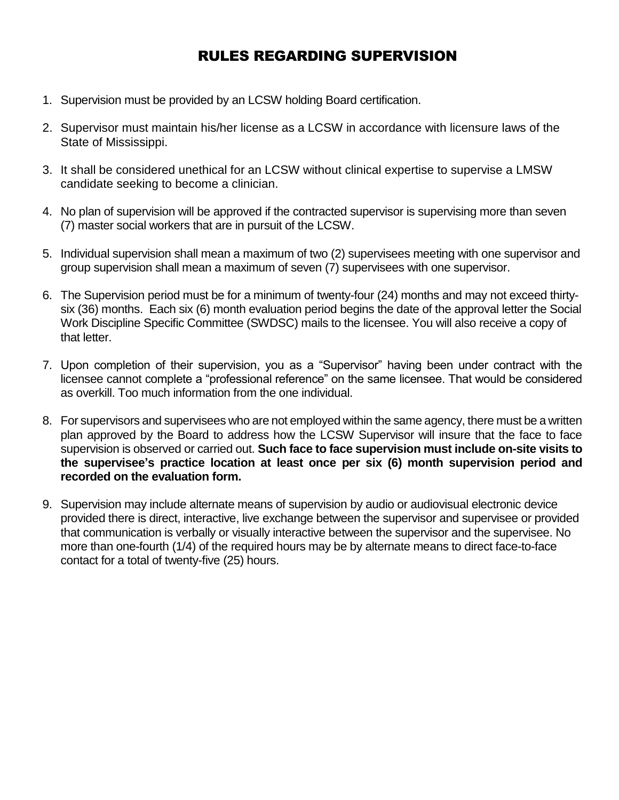## RULES REGARDING SUPERVISION

- 1. Supervision must be provided by an LCSW holding Board certification.
- 2. Supervisor must maintain his/her license as a LCSW in accordance with licensure laws of the State of Mississippi.
- 3. It shall be considered unethical for an LCSW without clinical expertise to supervise a LMSW candidate seeking to become a clinician.
- 4. No plan of supervision will be approved if the contracted supervisor is supervising more than seven (7) master social workers that are in pursuit of the LCSW.
- 5. Individual supervision shall mean a maximum of two (2) supervisees meeting with one supervisor and group supervision shall mean a maximum of seven (7) supervisees with one supervisor.
- 6. The Supervision period must be for a minimum of twenty-four (24) months and may not exceed thirtysix (36) months. Each six (6) month evaluation period begins the date of the approval letter the Social Work Discipline Specific Committee (SWDSC) mails to the licensee. You will also receive a copy of that letter.
- 7. Upon completion of their supervision, you as a "Supervisor" having been under contract with the licensee cannot complete a "professional reference" on the same licensee. That would be considered as overkill. Too much information from the one individual.
- 8. For supervisors and supervisees who are not employed within the same agency, there must be a written plan approved by the Board to address how the LCSW Supervisor will insure that the face to face supervision is observed or carried out. **Such face to face supervision must include on-site visits to the supervisee's practice location at least once per six (6) month supervision period and recorded on the evaluation form.**
- 9. Supervision may include alternate means of supervision by audio or audiovisual electronic device provided there is direct, interactive, live exchange between the supervisor and supervisee or provided that communication is verbally or visually interactive between the supervisor and the supervisee. No more than one-fourth (1/4) of the required hours may be by alternate means to direct face-to-face contact for a total of twenty-five (25) hours.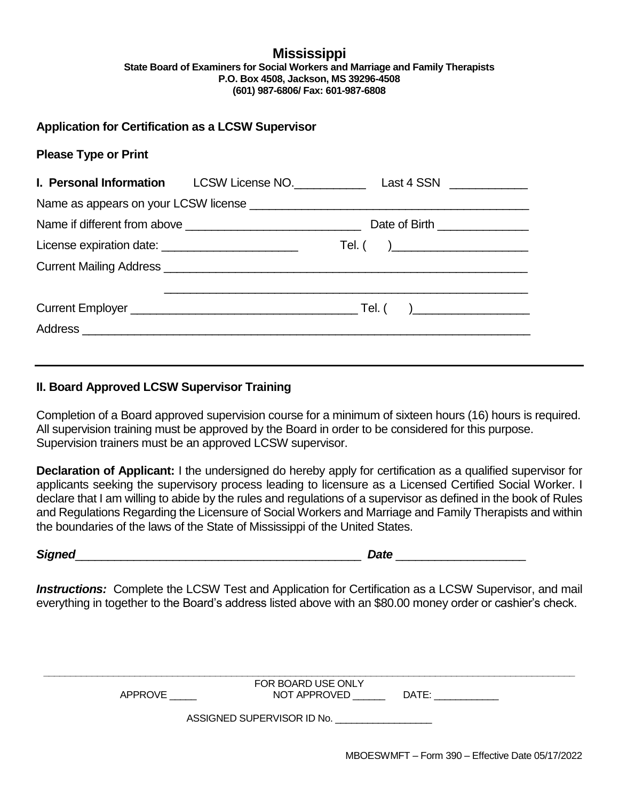#### **Mississippi State Board of Examiners for Social Workers and Marriage and Family Therapists P.O. Box 4508, Jackson, MS 39296-4508 (601) 987-6806/ Fax: 601-987-6808**

## **Application for Certification as a LCSW Supervisor**

### **Please Type or Print**

|                                                    | Date of Birth ________________                               |  |
|----------------------------------------------------|--------------------------------------------------------------|--|
| License expiration date: _________________________ | $\mathsf{Tel.}\left( \begin{array}{ccc} \end{array} \right)$ |  |
|                                                    |                                                              |  |
|                                                    |                                                              |  |
|                                                    |                                                              |  |
|                                                    |                                                              |  |

## **II. Board Approved LCSW Supervisor Training**

Completion of a Board approved supervision course for a minimum of sixteen hours (16) hours is required. All supervision training must be approved by the Board in order to be considered for this purpose. Supervision trainers must be an approved LCSW supervisor.

**Declaration of Applicant:** I the undersigned do hereby apply for certification as a qualified supervisor for applicants seeking the supervisory process leading to licensure as a Licensed Certified Social Worker. I declare that I am willing to abide by the rules and regulations of a supervisor as defined in the book of Rules and Regulations Regarding the Licensure of Social Workers and Marriage and Family Therapists and within the boundaries of the laws of the State of Mississippi of the United States.

*Signed*\_\_\_\_\_\_\_\_\_\_\_\_\_\_\_\_\_\_\_\_\_\_\_\_\_\_\_\_\_\_\_\_\_\_\_\_\_\_\_\_\_\_\_\_ *Date* \_\_\_\_\_\_\_\_\_\_\_\_\_\_\_\_\_\_\_\_

*Instructions:* Complete the LCSW Test and Application for Certification as a LCSW Supervisor, and mail everything in together to the Board's address listed above with an \$80.00 money order or cashier's check.

| FOR BOARD USE ONLY |                            |       |  |  |
|--------------------|----------------------------|-------|--|--|
| APPROVE            | NOT APPROVED               | DATE: |  |  |
|                    |                            |       |  |  |
|                    | ASSIGNED SUPERVISOR ID No. |       |  |  |
|                    |                            |       |  |  |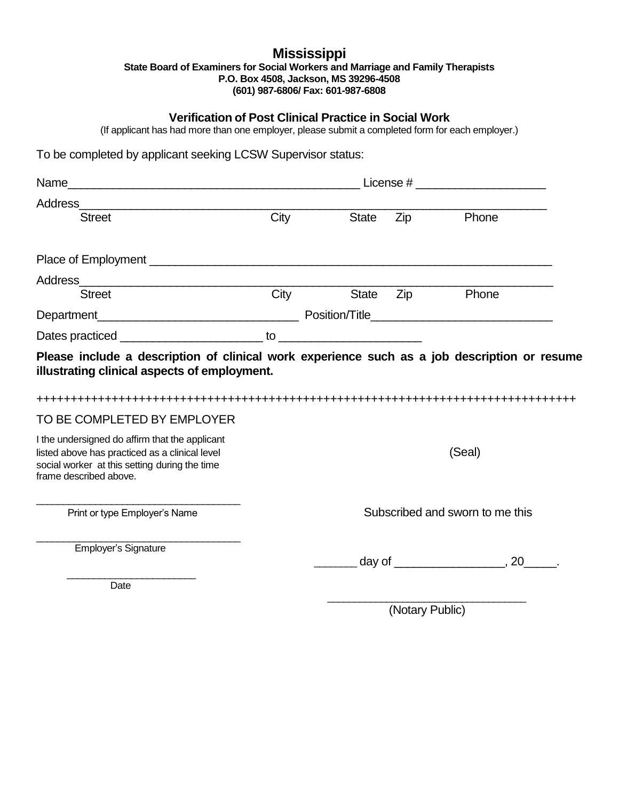#### **Mississippi State Board of Examiners for Social Workers and Marriage and Family Therapists P.O. Box 4508, Jackson, MS 39296-4508 (601) 987-6806/ Fax: 601-987-6808**

### **Verification of Post Clinical Practice in Social Work**

(If applicant has had more than one employer, please submit a completed form for each employer.)

To be completed by applicant seeking LCSW Supervisor status:

| Address and the contract of the contract of the contract of the contract of the contract of the contract of the contract of the contract of the contract of the contract of the contract of the contract of the contract of th |                                 |       |     |                      |
|--------------------------------------------------------------------------------------------------------------------------------------------------------------------------------------------------------------------------------|---------------------------------|-------|-----|----------------------|
| <b>Street</b>                                                                                                                                                                                                                  | City                            | State | Zip | Phone                |
|                                                                                                                                                                                                                                |                                 |       |     |                      |
|                                                                                                                                                                                                                                |                                 |       |     |                      |
| Street                                                                                                                                                                                                                         |                                 |       |     | City State Zip Phone |
|                                                                                                                                                                                                                                |                                 |       |     |                      |
|                                                                                                                                                                                                                                |                                 |       |     |                      |
| Please include a description of clinical work experience such as a job description or resume<br>illustrating clinical aspects of employment.                                                                                   |                                 |       |     |                      |
| TO BE COMPLETED BY EMPLOYER                                                                                                                                                                                                    |                                 |       |     |                      |
| I the undersigned do affirm that the applicant<br>listed above has practiced as a clinical level<br>social worker at this setting during the time<br>frame described above.                                                    |                                 |       |     | (Seal)               |
| Print or type Employer's Name                                                                                                                                                                                                  | Subscribed and sworn to me this |       |     |                      |
| Employer's Signature                                                                                                                                                                                                           |                                 |       |     |                      |
| Date                                                                                                                                                                                                                           |                                 |       |     |                      |

\_\_\_\_\_\_\_\_\_\_\_\_\_\_\_\_\_\_\_\_\_\_\_\_\_\_\_\_\_\_\_\_\_\_\_\_\_ (Notary Public)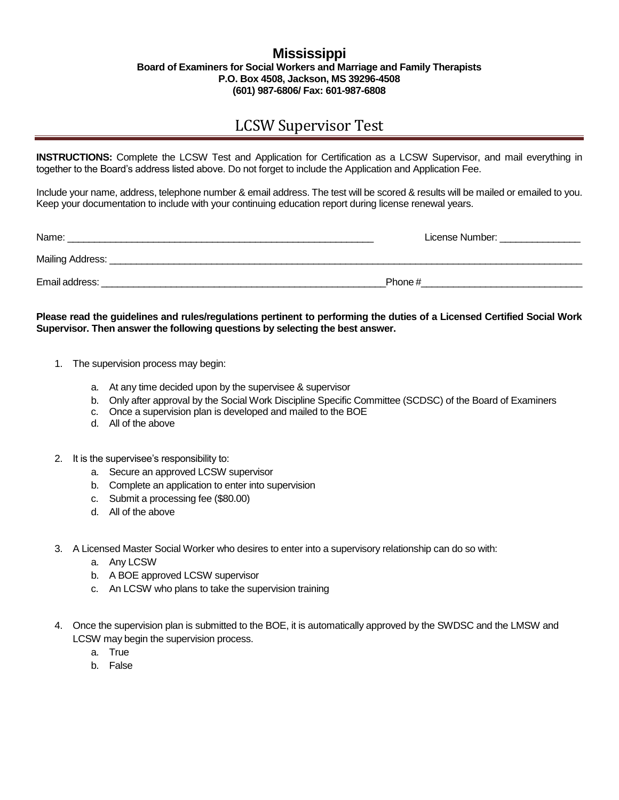#### **Mississippi Board of Examiners for Social Workers and Marriage and Family Therapists P.O. Box 4508, Jackson, MS 39296-4508 (601) 987-6806/ Fax: 601-987-6808**

## LCSW Supervisor Test

**INSTRUCTIONS:** Complete the LCSW Test and Application for Certification as a LCSW Supervisor, and mail everything in together to the Board's address listed above. Do not forget to include the Application and Application Fee.

Include your name, address, telephone number & email address. The test will be scored & results will be mailed or emailed to you. Keep your documentation to include with your continuing education report during license renewal years.

| Name:            | License Number: |
|------------------|-----------------|
| Mailing Address: |                 |
| Email address:   | Phone#          |

#### **Please read the guidelines and rules/regulations pertinent to performing the duties of a Licensed Certified Social Work Supervisor. Then answer the following questions by selecting the best answer.**

- 1. The supervision process may begin:
	- a. At any time decided upon by the supervisee & supervisor
	- b. Only after approval by the Social Work Discipline Specific Committee (SCDSC) of the Board of Examiners
	- c. Once a supervision plan is developed and mailed to the BOE
	- d. All of the above
- 2. It is the supervisee's responsibility to:
	- a. Secure an approved LCSW supervisor
	- b. Complete an application to enter into supervision
	- c. Submit a processing fee (\$80.00)
	- d. All of the above
- 3. A Licensed Master Social Worker who desires to enter into a supervisory relationship can do so with:
	- a. Any LCSW
	- b. A BOE approved LCSW supervisor
	- c. An LCSW who plans to take the supervision training
- 4. Once the supervision plan is submitted to the BOE, it is automatically approved by the SWDSC and the LMSW and LCSW may begin the supervision process.
	- a. True
	- b. False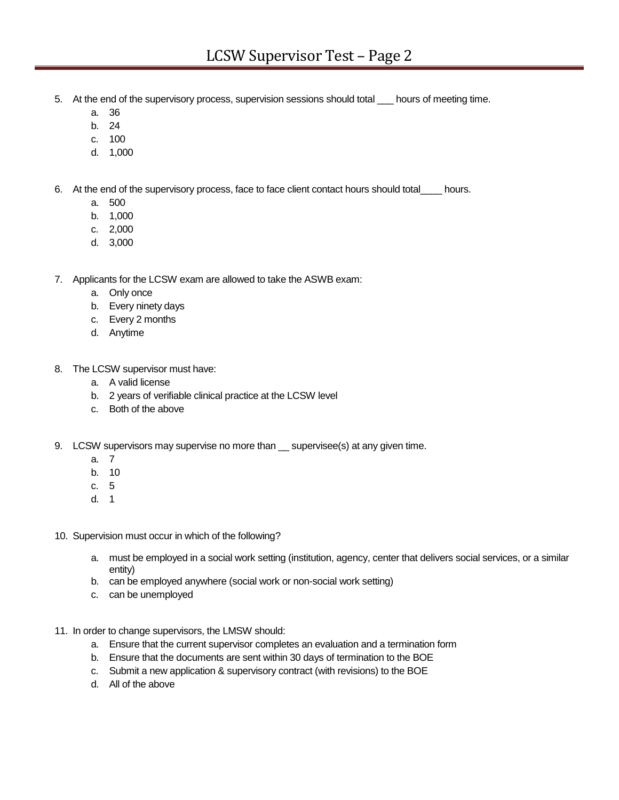- 5. At the end of the supervisory process, supervision sessions should total \_\_\_ hours of meeting time.
	- a. 36
	- b. 24
	- c. 100
	- d. 1,000
- 6. At the end of the supervisory process, face to face client contact hours should total\_\_\_\_ hours.
	- a. 500
	- b. 1,000
	- c. 2,000
	- d. 3,000
- 7. Applicants for the LCSW exam are allowed to take the ASWB exam:
	- a. Only once
	- b. Every ninety days
	- c. Every 2 months
	- d. Anytime
- 8. The LCSW supervisor must have:
	- a. A valid license
	- b. 2 years of verifiable clinical practice at the LCSW level
	- c. Both of the above
- 9. LCSW supervisors may supervise no more than supervisee(s) at any given time.
	- a. 7
	- b. 10
	- c. 5
	- d. 1
- 10. Supervision must occur in which of the following?
	- a. must be employed in a social work setting (institution, agency, center that delivers social services, or a similar entity)
	- b. can be employed anywhere (social work or non-social work setting)
	- c. can be unemployed
- 11. In order to change supervisors, the LMSW should:
	- a. Ensure that the current supervisor completes an evaluation and a termination form
	- b. Ensure that the documents are sent within 30 days of termination to the BOE
	- c. Submit a new application & supervisory contract (with revisions) to the BOE
	- d. All of the above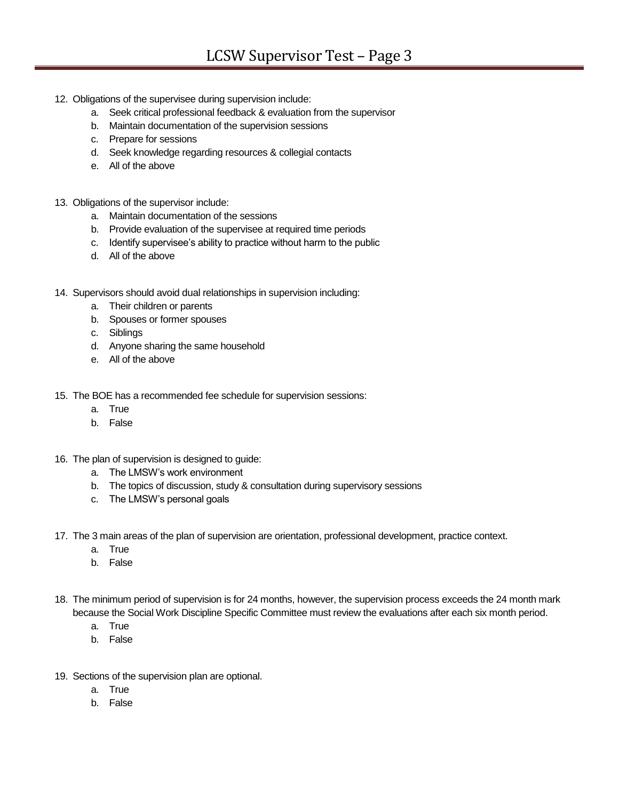- 12. Obligations of the supervisee during supervision include:
	- a. Seek critical professional feedback & evaluation from the supervisor
	- b. Maintain documentation of the supervision sessions
	- c. Prepare for sessions
	- d. Seek knowledge regarding resources & collegial contacts
	- e. All of the above
- 13. Obligations of the supervisor include:
	- a. Maintain documentation of the sessions
	- b. Provide evaluation of the supervisee at required time periods
	- c. Identify supervisee's ability to practice without harm to the public
	- d. All of the above
- 14. Supervisors should avoid dual relationships in supervision including:
	- a. Their children or parents
	- b. Spouses or former spouses
	- c. Siblings
	- d. Anyone sharing the same household
	- e. All of the above
- 15. The BOE has a recommended fee schedule for supervision sessions:
	- a. True
	- b. False
- 16. The plan of supervision is designed to guide:
	- a. The LMSW's work environment
	- b. The topics of discussion, study & consultation during supervisory sessions
	- c. The LMSW's personal goals
- 17. The 3 main areas of the plan of supervision are orientation, professional development, practice context.
	- a. True
	- b. False
- 18. The minimum period of supervision is for 24 months, however, the supervision process exceeds the 24 month mark because the Social Work Discipline Specific Committee must review the evaluations after each six month period.
	- a. True
	- b. False
- 19. Sections of the supervision plan are optional.
	- a. True
	- b. False